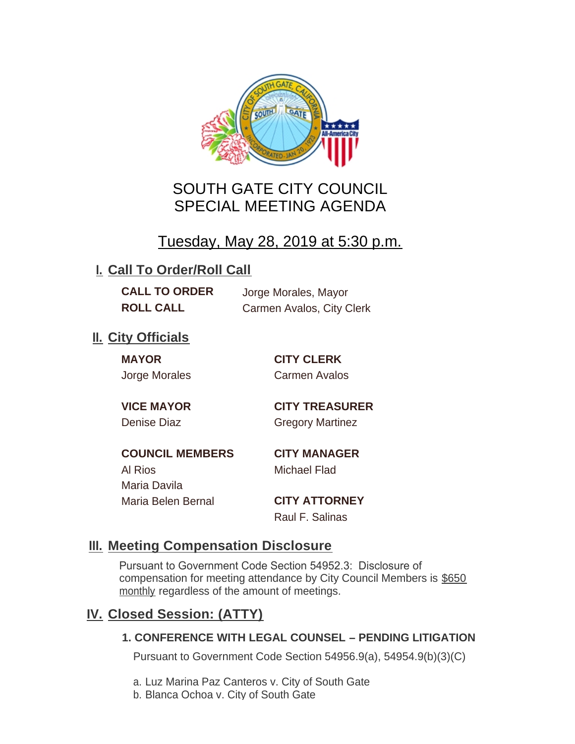

# SOUTH GATE CITY COUNCIL SPECIAL MEETING AGENDA

# Tuesday, May 28, 2019 at 5:30 p.m.

## **I. Call To Order/Roll Call**

**CALL TO ORDER** Jorge Morales, Mayor

**ROLL CALL** Carmen Avalos, City Clerk

## **II.** City Officials

**MAYOR CITY CLERK**

Jorge Morales Carmen Avalos

**VICE MAYOR CITY TREASURER** Denise Diaz Gregory Martinez

**COUNCIL MEMBERS CITY MANAGER** Al Rios Michael Flad Maria Davila Maria Belen Bernal **CITY ATTORNEY**

Raul F. Salinas

### **Meeting Compensation Disclosure III.**

Pursuant to Government Code Section 54952.3: Disclosure of compensation for meeting attendance by City Council Members is \$650 monthly regardless of the amount of meetings.

### **Closed Session: (ATTY) IV.**

#### **1. CONFERENCE WITH LEGAL COUNSEL – PENDING LITIGATION**

Pursuant to Government Code Section 54956.9(a), 54954.9(b)(3)(C)

- a. Luz Marina Paz Canteros v. City of South Gate
- b. Blanca Ochoa v. City of South Gate